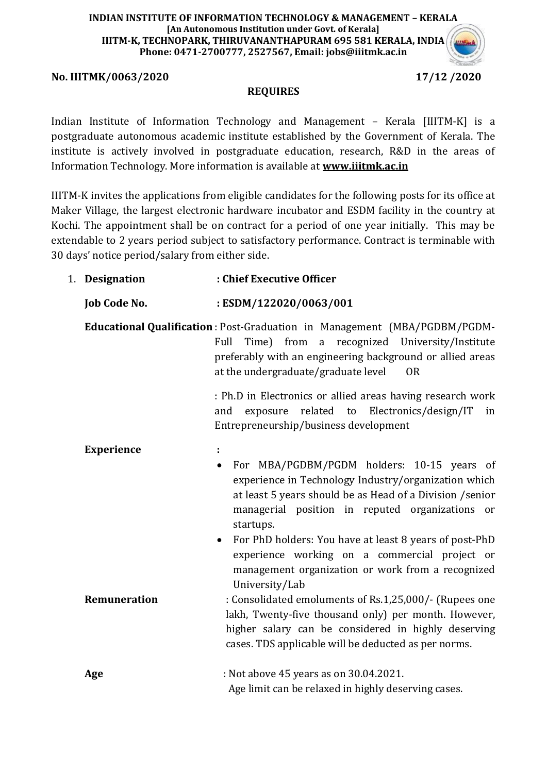#### **INDIAN INSTITUTE OF INFORMATION TECHNOLOGY & MANAGEMENT – KERALA [An Autonomous Institution under Govt. of Kerala] IIITM-K, TECHNOPARK, THIRUVANANTHAPURAM 695 581 KERALA, INDIA Phone: 0471-2700777, 2527567, Email: jobs@iiitmk.ac.in**

### **No. IIITMK/0063/2020 17/12 /2020**



#### **REQUIRES**

Indian Institute of Information Technology and Management – Kerala [IIITM-K] is a postgraduate autonomous academic institute established by the Government of Kerala. The institute is actively involved in postgraduate education, research, R&D in the areas of Information Technology. More information is available at **[www.iiitmk.ac.in](http://www.iiitmk.ac.in/)**

IIITM-K invites the applications from eligible candidates for the following posts for its office at Maker Village, the largest electronic hardware incubator and ESDM facility in the country at Kochi. The appointment shall be on contract for a period of one year initially. This may be extendable to 2 years period subject to satisfactory performance. Contract is terminable with 30 days' notice period/salary from either side.

#### 1. **Designation : Chief Executive Officer**

### **Job Code No. : ESDM/122020/0063/001**

**Educational Qualification** : Post-Graduation in Management (MBA/PGDBM/PGDM-Full Time) from a recognized University/Institute preferably with an engineering background or allied areas at the undergraduate/graduate level OR

> : Ph.D in Electronics or allied areas having research work and exposure related to Electronics/design/IT in Entrepreneurship/business development

| <b>Experience</b><br>$\bullet$ | For MBA/PGDBM/PGDM holders: 10-15 years of<br>experience in Technology Industry/organization which<br>at least 5 years should be as Head of a Division / senior<br>managerial position in reputed organizations or<br>startups.<br>• For PhD holders: You have at least 8 years of post-PhD<br>experience working on a commercial project or<br>management organization or work from a recognized |
|--------------------------------|---------------------------------------------------------------------------------------------------------------------------------------------------------------------------------------------------------------------------------------------------------------------------------------------------------------------------------------------------------------------------------------------------|
| <b>Remuneration</b>            | University/Lab<br>: Consolidated emoluments of Rs.1,25,000/- (Rupees one<br>lakh, Twenty-five thousand only) per month. However,<br>higher salary can be considered in highly deserving<br>cases. TDS applicable will be deducted as per norms.                                                                                                                                                   |
| Age                            | : Not above 45 years as on 30.04.2021.<br>Age limit can be relaxed in highly deserving cases.                                                                                                                                                                                                                                                                                                     |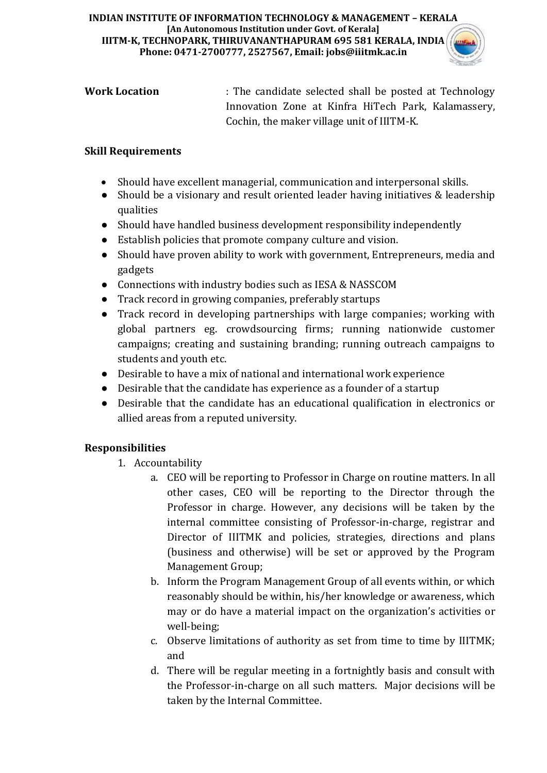#### **INDIAN INSTITUTE OF INFORMATION TECHNOLOGY & MANAGEMENT – KERALA [An Autonomous Institution under Govt. of Kerala] IIITM-K, TECHNOPARK, THIRUVANANTHAPURAM 695 581 KERALA, INDIA Phone: 0471-2700777, 2527567, Email: jobs@iiitmk.ac.in**



| <b>Work Location</b> | : The candidate selected shall be posted at Technology |
|----------------------|--------------------------------------------------------|
|                      | Innovation Zone at Kinfra HiTech Park, Kalamassery,    |
|                      | Cochin, the maker village unit of IIITM-K.             |

## **Skill Requirements**

- Should have excellent managerial, communication and interpersonal skills.
- Should be a visionary and result oriented leader having initiatives & leadership qualities
- Should have handled business development responsibility independently
- Establish policies that promote company culture and vision.
- Should have proven ability to work with government, Entrepreneurs, media and gadgets
- Connections with industry bodies such as IESA & NASSCOM
- Track record in growing companies, preferably startups
- Track record in developing partnerships with large companies; working with global partners eg. crowdsourcing firms; running nationwide customer campaigns; creating and sustaining branding; running outreach campaigns to students and youth etc.
- Desirable to have a mix of national and international work experience
- Desirable that the candidate has experience as a founder of a startup
- Desirable that the candidate has an educational qualification in electronics or allied areas from a reputed university.

# **Responsibilities**

- 1. Accountability
	- a. CEO will be reporting to Professor in Charge on routine matters. In all other cases, CEO will be reporting to the Director through the Professor in charge. However, any decisions will be taken by the internal committee consisting of Professor-in-charge, registrar and Director of IIITMK and policies, strategies, directions and plans (business and otherwise) will be set or approved by the Program Management Group;
	- b. Inform the Program Management Group of all events within, or which reasonably should be within, his/her knowledge or awareness, which may or do have a material impact on the organization's activities or well-being;
	- c. Observe limitations of authority as set from time to time by IIITMK; and
	- d. There will be regular meeting in a fortnightly basis and consult with the Professor-in-charge on all such matters. Major decisions will be taken by the Internal Committee.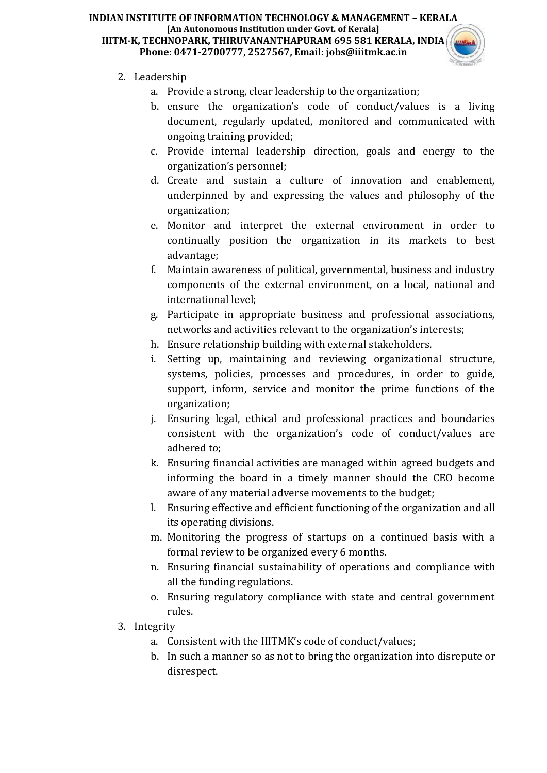#### **INDIAN INSTITUTE OF INFORMATION TECHNOLOGY & MANAGEMENT – KERALA [An Autonomous Institution under Govt. of Kerala] IIITM-K, TECHNOPARK, THIRUVANANTHAPURAM 695 581 KERALA, INDIA Phone: 0471-2700777, 2527567, Email: jobs@iiitmk.ac.in**



# 2. Leadership

- a. Provide a strong, clear leadership to the organization;
- b. ensure the organization's code of conduct/values is a living document, regularly updated, monitored and communicated with ongoing training provided;
- c. Provide internal leadership direction, goals and energy to the organization's personnel;
- d. Create and sustain a culture of innovation and enablement, underpinned by and expressing the values and philosophy of the organization;
- e. Monitor and interpret the external environment in order to continually position the organization in its markets to best advantage;
- f. Maintain awareness of political, governmental, business and industry components of the external environment, on a local, national and international level;
- g. Participate in appropriate business and professional associations, networks and activities relevant to the organization's interests;
- h. Ensure relationship building with external stakeholders.
- i. Setting up, maintaining and reviewing organizational structure, systems, policies, processes and procedures, in order to guide, support, inform, service and monitor the prime functions of the organization;
- j. Ensuring legal, ethical and professional practices and boundaries consistent with the organization's code of conduct/values are adhered to;
- k. Ensuring financial activities are managed within agreed budgets and informing the board in a timely manner should the CEO become aware of any material adverse movements to the budget;
- l. Ensuring effective and efficient functioning of the organization and all its operating divisions.
- m. Monitoring the progress of startups on a continued basis with a formal review to be organized every 6 months.
- n. Ensuring financial sustainability of operations and compliance with all the funding regulations.
- o. Ensuring regulatory compliance with state and central government rules.
- 3. Integrity
	- a. Consistent with the IIITMK's code of conduct/values;
	- b. In such a manner so as not to bring the organization into disrepute or disrespect.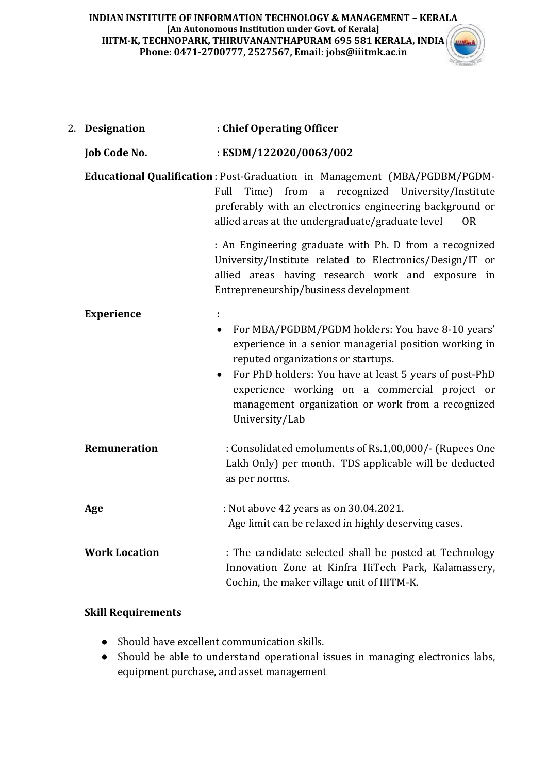| 2. Designation       | : Chief Operating Officer                                                                                                                                                                                                                                                                                                                            |
|----------------------|------------------------------------------------------------------------------------------------------------------------------------------------------------------------------------------------------------------------------------------------------------------------------------------------------------------------------------------------------|
| <b>Job Code No.</b>  | :ESDM/122020/0063/002                                                                                                                                                                                                                                                                                                                                |
|                      | Educational Qualification : Post-Graduation in Management (MBA/PGDBM/PGDM-<br>Full<br>Time) from<br>a recognized University/Institute<br>preferably with an electronics engineering background or<br>allied areas at the undergraduate/graduate level<br><b>OR</b>                                                                                   |
|                      | : An Engineering graduate with Ph. D from a recognized<br>University/Institute related to Electronics/Design/IT or<br>allied areas having research work and exposure in<br>Entrepreneurship/business development                                                                                                                                     |
| <b>Experience</b>    | t,<br>For MBA/PGDBM/PGDM holders: You have 8-10 years'<br>$\bullet$<br>experience in a senior managerial position working in<br>reputed organizations or startups.<br>For PhD holders: You have at least 5 years of post-PhD<br>experience working on a commercial project or<br>management organization or work from a recognized<br>University/Lab |
| <b>Remuneration</b>  | : Consolidated emoluments of Rs.1,00,000/- (Rupees One<br>Lakh Only) per month. TDS applicable will be deducted<br>as per norms.                                                                                                                                                                                                                     |
| Age                  | : Not above 42 years as on 30.04.2021.<br>Age limit can be relaxed in highly deserving cases.                                                                                                                                                                                                                                                        |
| <b>Work Location</b> | : The candidate selected shall be posted at Technology<br>Innovation Zone at Kinfra HiTech Park, Kalamassery,<br>Cochin, the maker village unit of IIITM-K.                                                                                                                                                                                          |

## **Skill Requirements**

- Should have excellent communication skills.
- Should be able to understand operational issues in managing electronics labs, equipment purchase, and asset management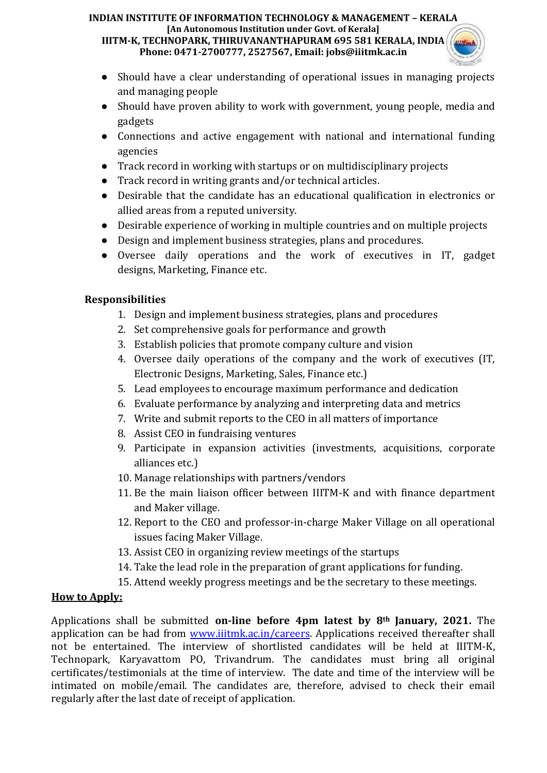# **INDIAN INSTITUTE OF INFORMATION TECHNOLOGY & MANAGEMENT – KERALA [An Autonomous Institution under Govt. of Kerala]**

**IIITM-K, TECHNOPARK, THIRUVANANTHAPURAM 695 581 KERALA, INDIA Phone: 0471-2700777, 2527567, Email: jobs@iiitmk.ac.in**



- Should have a clear understanding of operational issues in managing projects and managing people
- Should have proven ability to work with government, young people, media and gadgets
- Connections and active engagement with national and international funding agencies
- Track record in working with startups or on multidisciplinary projects
- Track record in writing grants and/or technical articles.
- Desirable that the candidate has an educational qualification in electronics or allied areas from a reputed university.
- Desirable experience of working in multiple countries and on multiple projects
- Design and implement business strategies, plans and procedures.
- Oversee daily operations and the work of executives in IT, gadget designs, Marketing, Finance etc.

# **Responsibilities**

- 1. Design and implement business strategies, plans and procedures
- 2. Set comprehensive goals for performance and growth
- 3. Establish policies that promote company culture and vision
- 4. Oversee daily operations of the company and the work of executives (IT, Electronic Designs, Marketing, Sales, Finance etc.)
- 5. Lead employees to encourage maximum performance and dedication
- 6. Evaluate performance by analyzing and interpreting data and metrics
- 7. Write and submit reports to the CEO in all matters of importance
- 8. Assist CEO in fundraising ventures
- 9. Participate in expansion activities (investments, acquisitions, corporate alliances etc.)
- 10. Manage relationships with partners/vendors
- 11. Be the main liaison officer between IIITM-K and with finance department and Maker village.
- 12. Report to the CEO and professor-in-charge Maker Village on all operational issues facing Maker Village.
- 13. Assist CEO in organizing review meetings of the startups
- 14. Take the lead role in the preparation of grant applications for funding.
- 15. Attend weekly progress meetings and be the secretary to these meetings.

# **How to Apply:**

Applications shall be submitted **on-line before 4pm latest by 8th January, 2021.** The application can be had from [www.iiitmk.ac.in/careers.](http://www.iiitmk.ac.in/careers) Applications received thereafter shall not be entertained. The interview of shortlisted candidates will be held at IIITM-K, Technopark, Karyavattom PO, Trivandrum. The candidates must bring all original certificates/testimonials at the time of interview. The date and time of the interview will be intimated on mobile/email. The candidates are, therefore, advised to check their email regularly after the last date of receipt of application.